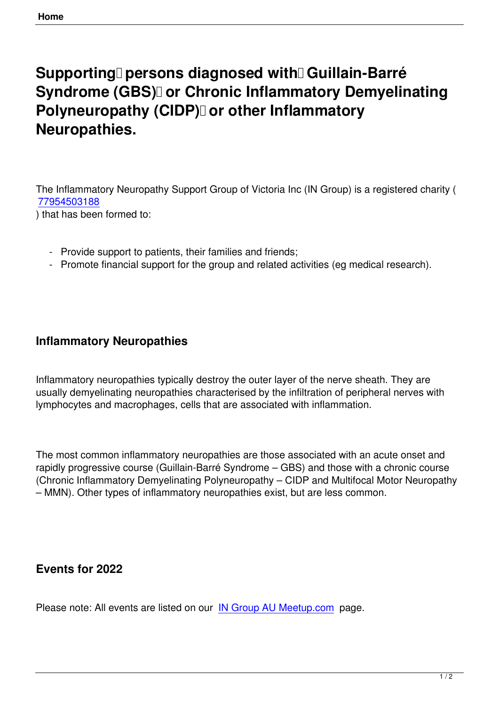## **Supporting** *persons diagnosed with* **Guillain-Barré Syndrome (GBS) or Chronic Inflammatory Demyelinating Polyneuropathy (CIDP)** or other Inflammatory **Neuropathies.**

The Inflammatory Neuropathy Support Group of Victoria Inc (IN Group) is a registered charity ( 77954503188

) that has been formed to:

- [Provide s](https://www.acnc.gov.au/charity/f32afa56f4cee7b3dec71f01674a0855)upport to patients, their families and friends;
- Promote financial support for the group and related activities (eg medical research).

## **Inflammatory Neuropathies**

Inflammatory neuropathies typically destroy the outer layer of the nerve sheath. They are usually demyelinating neuropathies characterised by the infiltration of peripheral nerves with lymphocytes and macrophages, cells that are associated with inflammation.

The most common inflammatory neuropathies are those associated with an acute onset and rapidly progressive course (Guillain-Barré Syndrome – GBS) and those with a chronic course (Chronic Inflammatory Demyelinating Polyneuropathy – CIDP and Multifocal Motor Neuropathy – MMN). Other types of inflammatory neuropathies exist, but are less common.

## **Events for 2022**

Please note: All events are listed on our IN Group AU Meetup.com page.